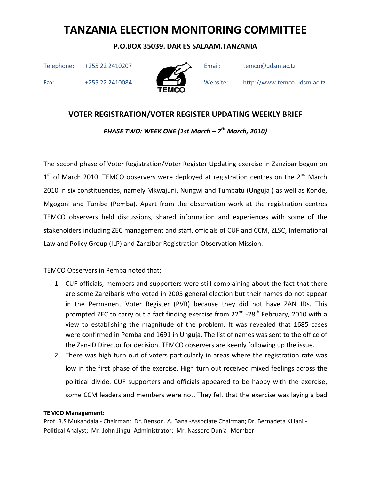P.O.BOX 35039. DAR ES SALAAM.TANZANIA

Telephone: +255 22 2410207 Email: temco@udsm.ac.tz



Fax: +255 22 2410084 Website: http://www.temco.udsm.ac.tz

## VOTER REGISTRATION/VOTER REGISTER UPDATING WEEKLY BRIEF

PHASE TWO: WEEK ONE (1st March –  $7^{th}$  March, 2010)

The second phase of Voter Registration/Voter Register Updating exercise in Zanzibar begun on 1<sup>st</sup> of March 2010. TEMCO observers were deployed at registration centres on the 2<sup>nd</sup> March 2010 in six constituencies, namely Mkwajuni, Nungwi and Tumbatu (Unguja ) as well as Konde, Mgogoni and Tumbe (Pemba). Apart from the observation work at the registration centres TEMCO observers held discussions, shared information and experiences with some of the stakeholders including ZEC management and staff, officials of CUF and CCM, ZLSC, International Law and Policy Group (ILP) and Zanzibar Registration Observation Mission.

TEMCO Observers in Pemba noted that;

- 1. CUF officials, members and supporters were still complaining about the fact that there are some Zanzibaris who voted in 2005 general election but their names do not appear in the Permanent Voter Register (PVR) because they did not have ZAN IDs. This prompted ZEC to carry out a fact finding exercise from 22<sup>nd</sup> -28<sup>th</sup> February, 2010 with a view to establishing the magnitude of the problem. It was revealed that 1685 cases were confirmed in Pemba and 1691 in Unguja. The list of names was sent to the office of the Zan-ID Director for decision. TEMCO observers are keenly following up the issue.
- 2. There was high turn out of voters particularly in areas where the registration rate was low in the first phase of the exercise. High turn out received mixed feelings across the political divide. CUF supporters and officials appeared to be happy with the exercise, some CCM leaders and members were not. They felt that the exercise was laying a bad

### TEMCO Management: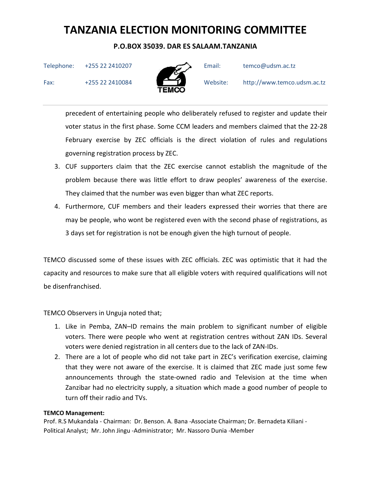### P.O.BOX 35039. DAR ES SALAAM.TANZANIA

Telephone: +255 22 2410207 Email: temco@udsm.ac.tz



Fax: +255 22 2410084 Website: http://www.temco.udsm.ac.tz

precedent of entertaining people who deliberately refused to register and update their voter status in the first phase. Some CCM leaders and members claimed that the 22-28 February exercise by ZEC officials is the direct violation of rules and regulations governing registration process by ZEC.

- 3. CUF supporters claim that the ZEC exercise cannot establish the magnitude of the problem because there was little effort to draw peoples' awareness of the exercise. They claimed that the number was even bigger than what ZEC reports.
- 4. Furthermore, CUF members and their leaders expressed their worries that there are may be people, who wont be registered even with the second phase of registrations, as 3 days set for registration is not be enough given the high turnout of people.

TEMCO discussed some of these issues with ZEC officials. ZEC was optimistic that it had the capacity and resources to make sure that all eligible voters with required qualifications will not be disenfranchised.

TEMCO Observers in Unguja noted that;

- 1. Like in Pemba, ZAN–ID remains the main problem to significant number of eligible voters. There were people who went at registration centres without ZAN IDs. Several voters were denied registration in all centers due to the lack of ZAN-IDs.
- 2. There are a lot of people who did not take part in ZEC's verification exercise, claiming that they were not aware of the exercise. It is claimed that ZEC made just some few announcements through the state-owned radio and Television at the time when Zanzibar had no electricity supply, a situation which made a good number of people to turn off their radio and TVs.

### TEMCO Management: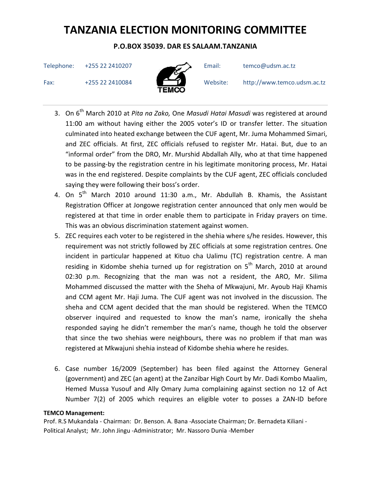## P.O.BOX 35039. DAR ES SALAAM.TANZANIA

Telephone: +255 22 2410207 Email: temco@udsm.ac.tz



Fax: +255 22 2410084 Website: http://www.temco.udsm.ac.tz

- 3. On 6<sup>th</sup> March 2010 at Pita na Zako, One Masudi Hatai Masudi was registered at around 11:00 am without having either the 2005 voter's ID or transfer letter. The situation culminated into heated exchange between the CUF agent, Mr. Juma Mohammed Simari, and ZEC officials. At first, ZEC officials refused to register Mr. Hatai. But, due to an "informal order" from the DRO, Mr. Murshid Abdallah Ally, who at that time happened to be passing-by the registration centre in his legitimate monitoring process, Mr. Hatai was in the end registered. Despite complaints by the CUF agent, ZEC officials concluded saying they were following their boss's order.
- 4. On  $5<sup>th</sup>$  March 2010 around 11:30 a.m., Mr. Abdullah B. Khamis, the Assistant Registration Officer at Jongowe registration center announced that only men would be registered at that time in order enable them to participate in Friday prayers on time. This was an obvious discrimination statement against women.
- 5. ZEC requires each voter to be registered in the shehia where s/he resides. However, this requirement was not strictly followed by ZEC officials at some registration centres. One incident in particular happened at Kituo cha Ualimu (TC) registration centre. A man residing in Kidombe shehia turned up for registration on  $5<sup>th</sup>$  March, 2010 at around 02:30 p.m. Recognizing that the man was not a resident, the ARO, Mr. Silima Mohammed discussed the matter with the Sheha of Mkwajuni, Mr. Ayoub Haji Khamis and CCM agent Mr. Haji Juma. The CUF agent was not involved in the discussion. The sheha and CCM agent decided that the man should be registered. When the TEMCO observer inquired and requested to know the man's name, ironically the sheha responded saying he didn't remember the man's name, though he told the observer that since the two shehias were neighbours, there was no problem if that man was registered at Mkwajuni shehia instead of Kidombe shehia where he resides.
- 6. Case number 16/2009 (September) has been filed against the Attorney General (government) and ZEC (an agent) at the Zanzibar High Court by Mr. Dadi Kombo Maalim, Hemed Mussa Yusouf and Ally Omary Juma complaining against section no 12 of Act Number 7(2) of 2005 which requires an eligible voter to posses a ZAN-ID before

### TEMCO Management: